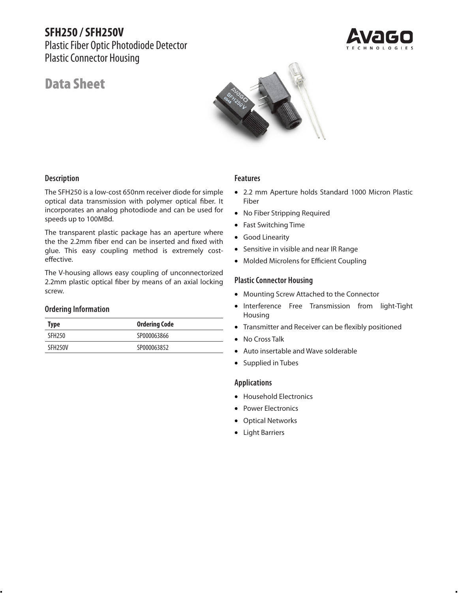# **SFH250 / SFH250V**

Plastic Fiber Optic Photodiode Detector Plastic Connector Housing

# Data Sheet



## **Description**

The SFH250 is a low-cost 650nm receiver diode for simple optical data transmission with polymer optical fiber. It incorporates an analog photodiode and can be used for speeds up to 100MBd.

The transparent plastic package has an aperture where the the 2.2mm fiber end can be inserted and fixed with glue. This easy coupling method is extremely costeffective.

The V-housing allows easy coupling of unconnectorized 2.2mm plastic optical fiber by means of an axial locking screw.

### **Ordering Information**

| Type                 | <b>Ordering Code</b> |
|----------------------|----------------------|
| SFH <sub>250</sub>   | SP000063866          |
| SFH <sub>250</sub> V | SP000063852          |

#### **Features**

- • 2.2 mm Aperture holds Standard 1000 Micron Plastic Fiber
- No Fiber Stripping Required
- Fast Switching Time
- Good Linearity
- • Sensitive in visible and near IR Range
- Molded Microlens for Efficient Coupling

### **Plastic Connector Housing**

- Mounting Screw Attached to the Connector
- Interference Free Transmission from light-Tight Housing
- Transmitter and Receiver can be flexibly positioned
- No Cross Talk
- Auto insertable and Wave solderable
- Supplied in Tubes

### **Applications**

- Household Electronics
- Power Electronics
- Optical Networks
- Light Barriers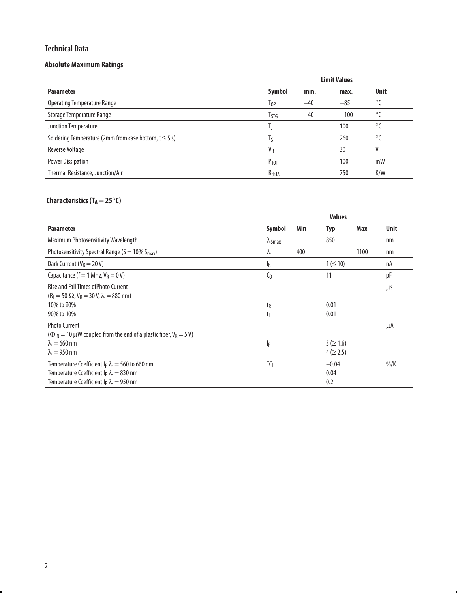## **Technical Data**

## **Absolute Maximum Ratings**

|                                                           |                       |       | <b>Limit Values</b> |              |
|-----------------------------------------------------------|-----------------------|-------|---------------------|--------------|
| <b>Parameter</b>                                          | Symbol                | min.  | max.                | <b>Unit</b>  |
| Operating Temperature Range                               | $1_{0P}$              | $-40$ | $+85$               | $^{\circ}$ C |
| Storage Temperature Range                                 | Tstg                  | $-40$ | $+100$              | $^{\circ}$ C |
| Junction Temperature                                      |                       |       | 100                 | $\circ$      |
| Soldering Temperature (2mm from case bottom, $t \le 5$ s) | Iς                    |       | 260                 | $\circ$      |
| <b>Reverse Voltage</b>                                    | <b>V</b> <sub>R</sub> |       | 30                  | V            |
| <b>Power Dissipation</b>                                  | Ртот                  |       | 100                 | mW           |
| Thermal Resistance, Junction/Air                          | R <sub>thJA</sub>     |       | 750                 | K/W          |

## **Characteristics (T<sub>A</sub> = 25°C)**

| <b>Parameter</b>                                                                                                               | Symbol         | Min | Typ            | Max  | <b>Unit</b>    |
|--------------------------------------------------------------------------------------------------------------------------------|----------------|-----|----------------|------|----------------|
| Maximum Photosensitivity Wavelength                                                                                            | $\lambda$ Smax |     | 850            |      | nm             |
| Photosensitivity Spectral Range ( $S = 10\% S_{max}$ )                                                                         | λ              | 400 |                | 1100 | nm             |
| Dark Current ( $V_R = 20 V$ )                                                                                                  | $I_R$          |     | $1 ( \le 10)$  |      | nA             |
| Capacitance (f = 1 MHz, $V_R$ = 0 V)                                                                                           | $\mathsf{C}_0$ |     | 11             |      | pF             |
| Rise and Fall Times of Photo Current<br>$(R_1 = 50 \Omega, V_R = 30 V, \lambda = 880 \text{ nm})$                              |                |     |                |      | μs             |
| 10% to 90%                                                                                                                     | t <sub>R</sub> |     | 0.01           |      |                |
| 90% to 10%                                                                                                                     | tF             |     | 0.01           |      |                |
| <b>Photo Current</b><br>$(\Phi_{\text{IN}} = 10 \,\mu\text{W}$ coupled from the end of a plastic fiber, $V_R = 5 \,\text{V}$ ) |                |     |                |      | μA             |
| $\lambda = 660$ nm                                                                                                             | p              |     | $3 ( \ge 1.6)$ |      |                |
| $\lambda = 950$ nm                                                                                                             |                |     | $4 ( \ge 2.5)$ |      |                |
| Temperature Coefficient $I_P \lambda = 560$ to 660 nm                                                                          | TC             |     | $-0.04$        |      | $\frac{\%}{K}$ |
| Temperature Coefficient $I_P \lambda = 830$ nm                                                                                 |                |     | 0.04           |      |                |
| Temperature Coefficient $I_P \lambda = 950$ nm                                                                                 |                |     | 0.2            |      |                |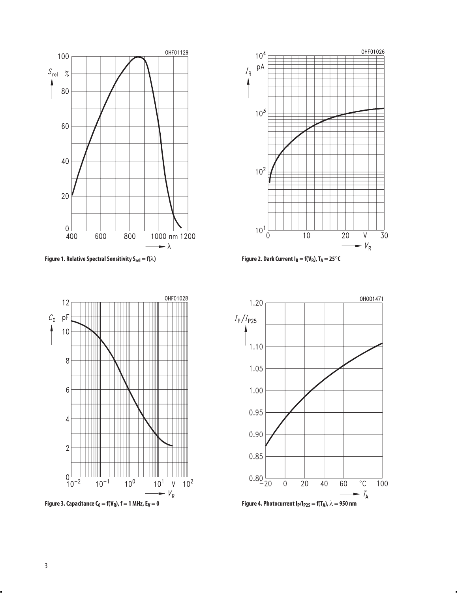

**Figure 1.** Relative Spectral Sensitivity S<sub>rel</sub> = f( $\lambda$ ) **Figure 2.** Dark Current I<sub>R</sub> = f(V<sub>R</sub>), T<sub>A</sub> = 25°C





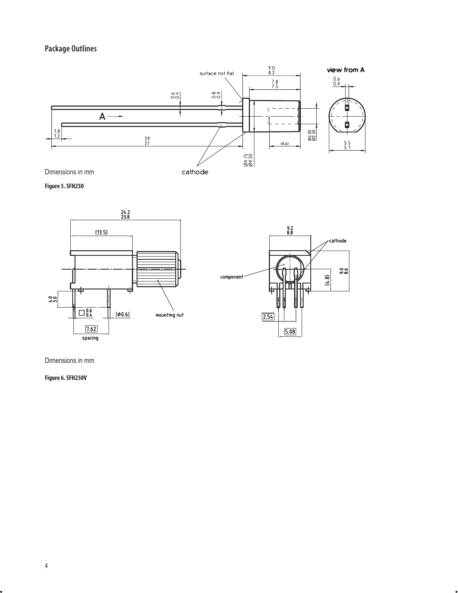## **Package Outlines**



**Figure 5. SFH250**



Dimensions in mm

**Figure 6. SFH250V**